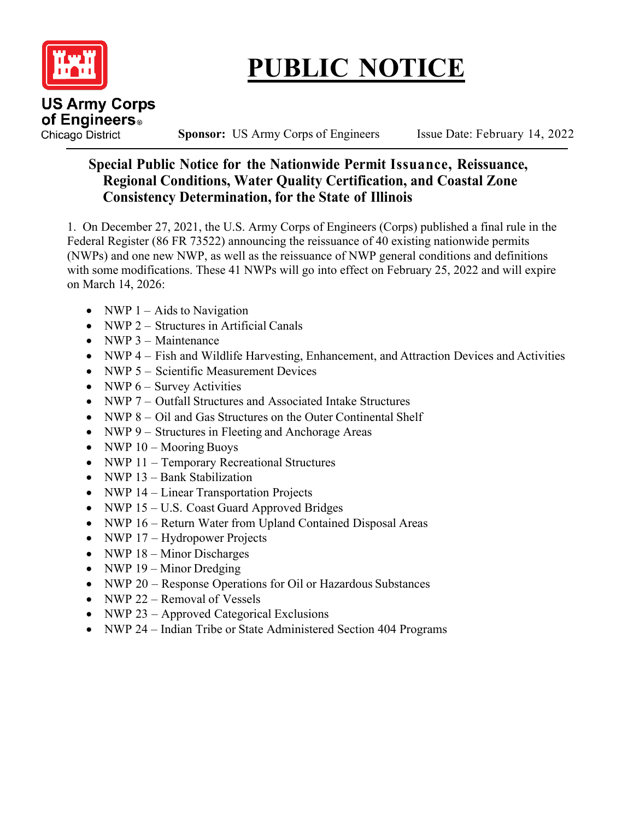

## **PUBLIC NOTICE**

**Chicago District** Sponsor: US Army Corps of Engineers Issue Date: February 14, 2022

## **Special Public Notice for the Nationwide Permit Issuance, Reissuance, Regional Conditions, Water Quality Certification, and Coastal Zone Consistency Determination, for the State of Illinois**

1. On December 27, 2021, the U.S. Army Corps of Engineers (Corps) published a final rule in the Federal Register (86 FR 73522) announcing the reissuance of 40 existing nationwide permits (NWPs) and one new NWP, as well as the reissuance of NWP general conditions and definitions with some modifications. These 41 NWPs will go into effect on February 25, 2022 and will expire on March 14, 2026:

- NWP  $1 -$  Aids to Navigation
- NWP 2 Structures in Artificial Canals
- NWP 3 Maintenance
- NWP 4 Fish and Wildlife Harvesting, Enhancement, and Attraction Devices and Activities
- NWP 5 Scientific Measurement Devices
- NWP  $6 -$  Survey Activities
- NWP 7 Outfall Structures and Associated Intake Structures
- NWP 8 Oil and Gas Structures on the Outer Continental Shelf
- NWP 9 Structures in Fleeting and Anchorage Areas
- NWP  $10 -$ Mooring Buoys
- NWP 11 Temporary Recreational Structures
- NWP 13 Bank Stabilization
- NWP 14 Linear Transportation Projects
- NWP 15 U.S. Coast Guard Approved Bridges
- NWP 16 Return Water from Upland Contained Disposal Areas
- NWP 17 Hydropower Projects
- NWP 18 Minor Discharges
- NWP 19 Minor Dredging
- NWP 20 Response Operations for Oil or Hazardous Substances
- NWP 22 Removal of Vessels
- NWP 23 Approved Categorical Exclusions
- NWP 24 Indian Tribe or State Administered Section 404 Programs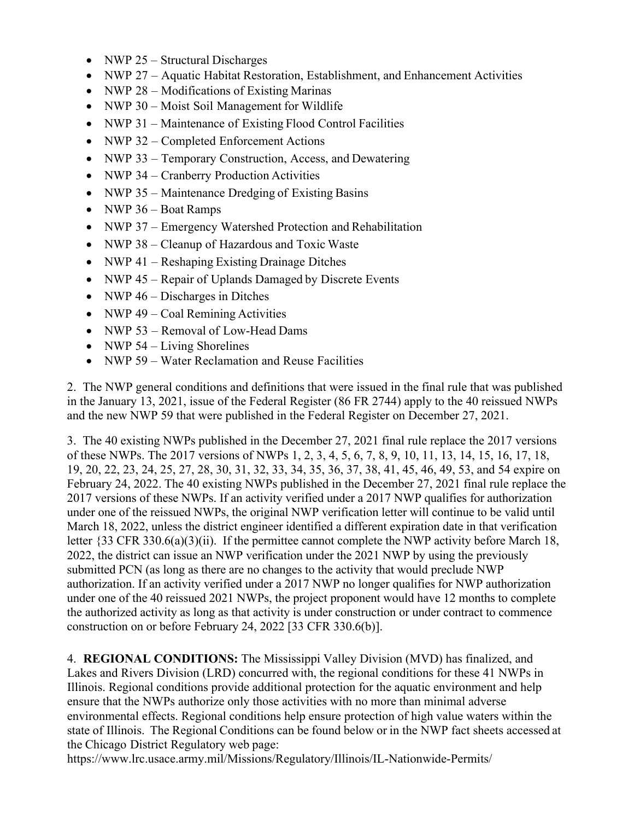- NWP 25 Structural Discharges
- NWP 27 Aquatic Habitat Restoration, Establishment, and Enhancement Activities
- NWP 28 Modifications of Existing Marinas
- NWP 30 Moist Soil Management for Wildlife
- NWP 31 Maintenance of Existing Flood Control Facilities
- NWP 32 Completed Enforcement Actions
- NWP 33 Temporary Construction, Access, and Dewatering
- NWP 34 Cranberry Production Activities
- NWP 35 Maintenance Dredging of Existing Basins
- NWP 36 Boat Ramps
- NWP 37 Emergency Watershed Protection and Rehabilitation
- NWP 38 Cleanup of Hazardous and Toxic Waste
- NWP 41 Reshaping Existing Drainage Ditches
- NWP 45 Repair of Uplands Damaged by Discrete Events
- NWP  $46 Discharges$  in Ditches
- NWP  $49 \text{Coal Remining Activities}$
- NWP 53 Removal of Low-Head Dams
- NWP  $54$  Living Shorelines
- NWP 59 Water Reclamation and Reuse Facilities

2. The NWP general conditions and definitions that were issued in the final rule that was published in the January 13, 2021, issue of the Federal Register (86 FR 2744) apply to the 40 reissued NWPs and the new NWP 59 that were published in the Federal Register on December 27, 2021.

3. The 40 existing NWPs published in the December 27, 2021 final rule replace the 2017 versions of these NWPs. The 2017 versions of NWPs 1, 2, 3, 4, 5, 6, 7, 8, 9, 10, 11, 13, 14, 15, 16, 17, 18, 19, 20, 22, 23, 24, 25, 27, 28, 30, 31, 32, 33, 34, 35, 36, 37, 38, 41, 45, 46, 49, 53, and 54 expire on February 24, 2022. The 40 existing NWPs published in the December 27, 2021 final rule replace the 2017 versions of these NWPs. If an activity verified under a 2017 NWP qualifies for authorization under one of the reissued NWPs, the original NWP verification letter will continue to be valid until March 18, 2022, unless the district engineer identified a different expiration date in that verification letter {33 CFR 330.6(a)(3)(ii). If the permittee cannot complete the NWP activity before March 18, 2022, the district can issue an NWP verification under the 2021 NWP by using the previously submitted PCN (as long as there are no changes to the activity that would preclude NWP authorization. If an activity verified under a 2017 NWP no longer qualifies for NWP authorization under one of the 40 reissued 2021 NWPs, the project proponent would have 12 months to complete the authorized activity as long as that activity is under construction or under contract to commence construction on or before February 24, 2022 [33 CFR 330.6(b)].

4. **REGIONAL CONDITIONS:** The Mississippi Valley Division (MVD) has finalized, and Lakes and Rivers Division (LRD) concurred with, the regional conditions for these 41 NWPs in Illinois. Regional conditions provide additional protection for the aquatic environment and help ensure that the NWPs authorize only those activities with no more than minimal adverse environmental effects. Regional conditions help ensure protection of high value waters within the state of Illinois. The Regional Conditions can be found below or in the NWP fact sheets accessed at the Chicago District Regulatory web page:

https://www.lrc.usace.army.mil/Missions/Regulatory/Illinois/IL-Nationwide-Permits/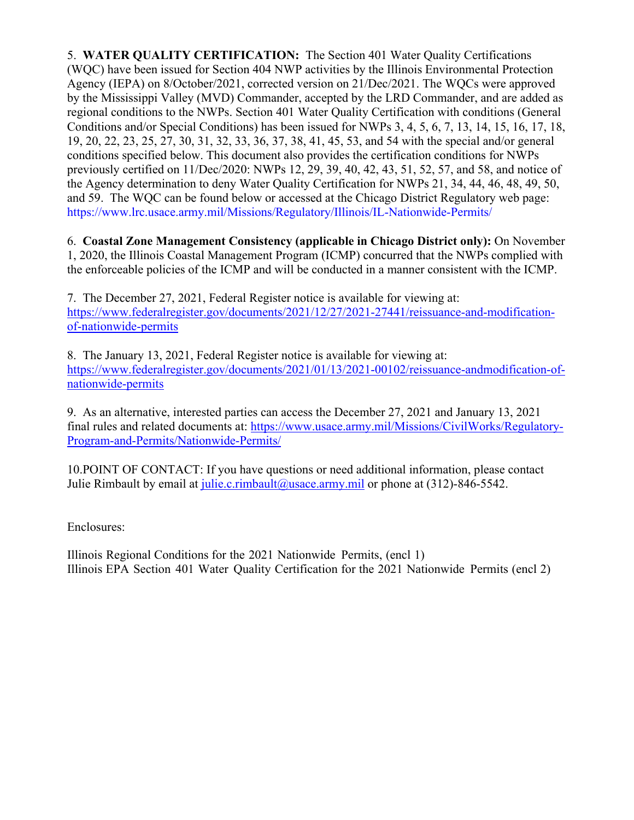5. **WATER QUALITY CERTIFICATION:** The Section 401 Water Quality Certifications (WQC) have been issued for Section 404 NWP activities by the Illinois Environmental Protection Agency (IEPA) on 8/October/2021, corrected version on 21/Dec/2021. The WQCs were approved by the Mississippi Valley (MVD) Commander, accepted by the LRD Commander, and are added as regional conditions to the NWPs. Section 401 Water Quality Certification with conditions (General Conditions and/or Special Conditions) has been issued for NWPs 3, 4, 5, 6, 7, 13, 14, 15, 16, 17, 18, 19, 20, 22, 23, 25, 27, 30, 31, 32, 33, 36, 37, 38, 41, 45, 53, and 54 with the special and/or general conditions specified below. This document also provides the certification conditions for NWPs previously certified on 11/Dec/2020: NWPs 12, 29, 39, 40, 42, 43, 51, 52, 57, and 58, and notice of the Agency determination to deny Water Quality Certification for NWPs 21, 34, 44, 46, 48, 49, 50, and 59. The WQC can be found below or accessed at the Chicago District Regulatory web page: https://www.lrc.usace.army.mil/Missions/Regulatory/Illinois/IL-Nationwide-Permits/

6. **Coastal Zone Management Consistency (applicable in Chicago District only):** On November 1, 2020, the Illinois Coastal Management Program (ICMP) concurred that the NWPs complied with the enforceable policies of the ICMP and will be conducted in a manner consistent with the ICMP.

7. The December 27, 2021, Federal Register notice is available for viewing at: [https://www.federalregister.gov/documents/2021/12/27/2021-27441/reissuance-and-modification](https://www.federalregister.gov/documents/2021/12/27/2021-27441/reissuance-and-modification-of-nationwide-permits)[of-nationwide-permits](https://www.federalregister.gov/documents/2021/12/27/2021-27441/reissuance-and-modification-of-nationwide-permits)

8. The January 13, 2021, Federal Register notice is available for viewing at: [https://www.federalregister.gov/documents/2021/01/13/2021-00102/reissuance-andmodification-of](https://www.federalregister.gov/documents/2021/01/13/2021-00102/reissuance-andmodification-of-nationwide-permits)[nationwide-permits](https://www.federalregister.gov/documents/2021/01/13/2021-00102/reissuance-andmodification-of-nationwide-permits)

9. As an alternative, interested parties can access the December 27, 2021 and January 13, 2021 final rules and related documents at: [https://www.usace.army.mil/Missions/CivilWorks/Regulatory-](https://www.usace.army.mil/Missions/CivilWorks/Regulatory-Program-and-Permits/Nationwide-Permits/)[Program-and-Permits/Nationwide-Permits/](https://www.usace.army.mil/Missions/CivilWorks/Regulatory-Program-and-Permits/Nationwide-Permits/)

10.POINT OF CONTACT: If you have questions or need additional information, please contact Julie Rimbault by email at [julie.c.rimbault@usace.army.mil](mailto:julie.c.rimbault@usace.army.mil) or phone at  $(312)$ -846-5542.

Enclosures:

Illinois Regional Conditions for the 2021 Nationwide Permits, (encl 1) Illinois EPA Section 401 Water Quality Certification for the 2021 Nationwide Permits (encl 2)